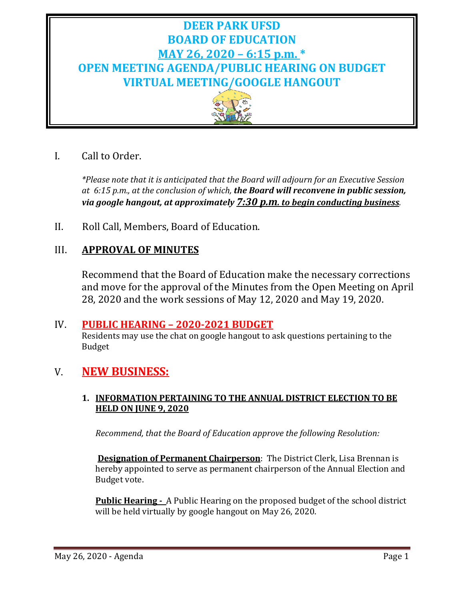# **DEER PARK UFSD BOARD OF EDUCATION MAY 26, 2020 – 6:15 p.m. \* OPEN MEETING AGENDA/PUBLIC HEARING ON BUDGET VIRTUAL MEETING/GOOGLE HANGOUT**



# I. Call to Order.

*\*Please note that it is anticipated that the Board will adjourn for an Executive Session at 6:15 p.m., at the conclusion of which, the Board will reconvene in public session, via google hangout, at approximately 7:30 p.m. to begin conducting business.*

II. Roll Call, Members, Board of Education.

# III. **APPROVAL OF MINUTES**

Recommend that the Board of Education make the necessary corrections and move for the approval of the Minutes from the Open Meeting on April 28, 2020 and the work sessions of May 12, 2020 and May 19, 2020.

### IV. **PUBLIC HEARING – 2020-2021 BUDGET**

Residents may use the chat on google hangout to ask questions pertaining to the Budget

# V. **NEW BUSINESS:**

### **1. INFORMATION PERTAINING TO THE ANNUAL DISTRICT ELECTION TO BE HELD ON JUNE 9, 2020**

*Recommend, that the Board of Education approve the following Resolution:*

**Designation of Permanent Chairperson**: The District Clerk, Lisa Brennan is hereby appointed to serve as permanent chairperson of the Annual Election and Budget vote.

**Public Hearing -** A Public Hearing on the proposed budget of the school district will be held virtually by google hangout on May 26, 2020.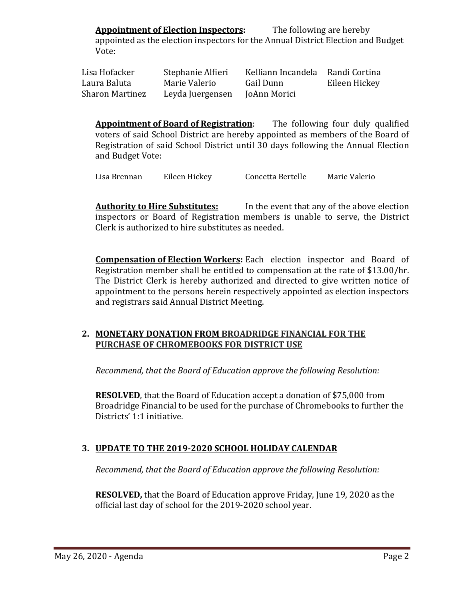**Appointment of Election Inspectors:** The following are hereby appointed as the election inspectors for the Annual District Election and Budget Vote:

| Lisa Hofacker          | Stephanie Alfieri | Kelliann Incandela Randi Cortina |               |
|------------------------|-------------------|----------------------------------|---------------|
| Laura Baluta           | Marie Valerio     | Gail Dunn                        | Eileen Hickey |
| <b>Sharon Martinez</b> | Leyda Juergensen  | JoAnn Morici                     |               |

**Appointment of Board of Registration**: The following four duly qualified voters of said School District are hereby appointed as members of the Board of Registration of said School District until 30 days following the Annual Election and Budget Vote:

Lisa Brennan Eileen Hickey Concetta Bertelle Marie Valerio

**Authority to Hire Substitutes:** In the event that any of the above election inspectors or Board of Registration members is unable to serve, the District Clerk is authorized to hire substitutes as needed.

**Compensation of Election Workers:** Each election inspector and Board of Registration member shall be entitled to compensation at the rate of \$13.00/hr. The District Clerk is hereby authorized and directed to give written notice of appointment to the persons herein respectively appointed as election inspectors and registrars said Annual District Meeting.

#### **2. MONETARY DONATION FROM BROADRIDGE FINANCIAL FOR THE PURCHASE OF CHROMEBOOKS FOR DISTRICT USE**

*Recommend, that the Board of Education approve the following Resolution:*

**RESOLVED**, that the Board of Education accept a donation of \$75,000 from Broadridge Financial to be used for the purchase of Chromebooks to further the Districts' 1:1 initiative.

#### **3. UPDATE TO THE 2019-2020 SCHOOL HOLIDAY CALENDAR**

*Recommend, that the Board of Education approve the following Resolution:*

**RESOLVED,** that the Board of Education approve Friday, June 19, 2020 as the official last day of school for the 2019-2020 school year.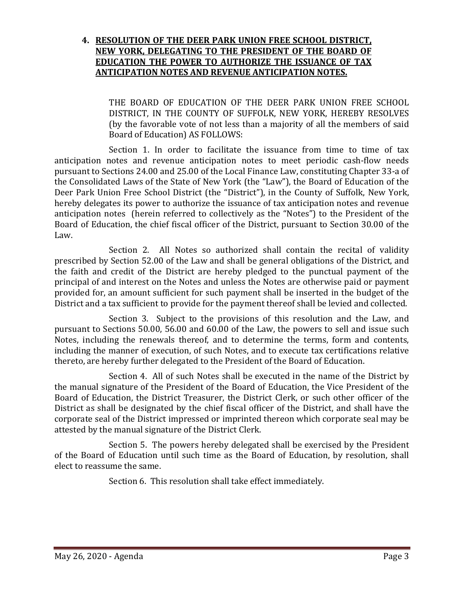#### **4. RESOLUTION OF THE DEER PARK UNION FREE SCHOOL DISTRICT, NEW YORK, DELEGATING TO THE PRESIDENT OF THE BOARD OF EDUCATION THE POWER TO AUTHORIZE THE ISSUANCE OF TAX ANTICIPATION NOTES AND REVENUE ANTICIPATION NOTES.**

THE BOARD OF EDUCATION OF THE DEER PARK UNION FREE SCHOOL DISTRICT, IN THE COUNTY OF SUFFOLK, NEW YORK, HEREBY RESOLVES (by the favorable vote of not less than a majority of all the members of said Board of Education) AS FOLLOWS:

Section 1. In order to facilitate the issuance from time to time of tax anticipation notes and revenue anticipation notes to meet periodic cash-flow needs pursuant to Sections 24.00 and 25.00 of the Local Finance Law, constituting Chapter 33-a of the Consolidated Laws of the State of New York (the "Law"), the Board of Education of the Deer Park Union Free School District (the "District"), in the County of Suffolk, New York, hereby delegates its power to authorize the issuance of tax anticipation notes and revenue anticipation notes (herein referred to collectively as the "Notes") to the President of the Board of Education, the chief fiscal officer of the District, pursuant to Section 30.00 of the Law.

Section 2. All Notes so authorized shall contain the recital of validity prescribed by Section 52.00 of the Law and shall be general obligations of the District, and the faith and credit of the District are hereby pledged to the punctual payment of the principal of and interest on the Notes and unless the Notes are otherwise paid or payment provided for, an amount sufficient for such payment shall be inserted in the budget of the District and a tax sufficient to provide for the payment thereof shall be levied and collected.

Section 3. Subject to the provisions of this resolution and the Law, and pursuant to Sections 50.00, 56.00 and 60.00 of the Law, the powers to sell and issue such Notes, including the renewals thereof, and to determine the terms, form and contents, including the manner of execution, of such Notes, and to execute tax certifications relative thereto, are hereby further delegated to the President of the Board of Education.

Section 4. All of such Notes shall be executed in the name of the District by the manual signature of the President of the Board of Education, the Vice President of the Board of Education, the District Treasurer, the District Clerk, or such other officer of the District as shall be designated by the chief fiscal officer of the District, and shall have the corporate seal of the District impressed or imprinted thereon which corporate seal may be attested by the manual signature of the District Clerk.

Section 5. The powers hereby delegated shall be exercised by the President of the Board of Education until such time as the Board of Education, by resolution, shall elect to reassume the same.

Section 6. This resolution shall take effect immediately.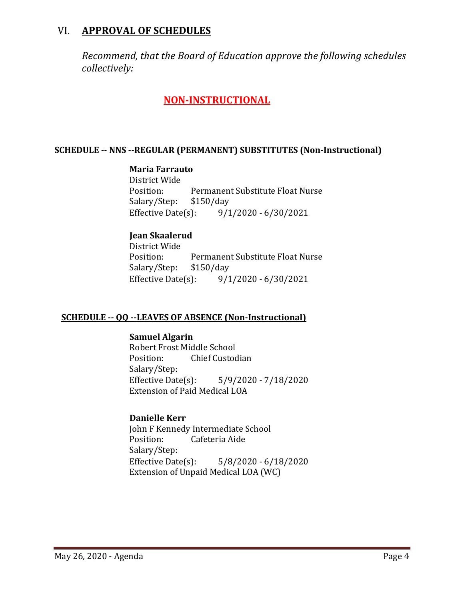# VI. **APPROVAL OF SCHEDULES**

*Recommend, that the Board of Education approve the following schedules collectively:*

## **NON-INSTRUCTIONAL**

#### **SCHEDULE -- NNS --REGULAR (PERMANENT) SUBSTITUTES (Non-Instructional)**

#### **Maria Farrauto**

District Wide Permanent Substitute Float Nurse<br>\$150/day Salary/Step: \$1<br>Effective Date(s):  $9/1/2020 - 6/30/2021$ 

#### **Jean Skaalerud**

District Wide Permanent Substitute Float Nurse<br>\$150/day Salary/Step: \$1<br>Effective Date(s):  $9/1/2020 - 6/30/2021$ 

#### **SCHEDULE -- QQ --LEAVES OF ABSENCE (Non-Instructional)**

**Samuel Algarin** Robert Frost Middle School<br>Position: Chief Custoc **Chief Custodian** Salary/Step:<br>Effective Date(s):  $5/9/2020 - 7/18/2020$ Extension of Paid Medical LOA

#### **Danielle Kerr**

John F Kennedy Intermediate School<br>Position: Cafeteria Aide Cafeteria Aide Salary/Step:<br>Effective Date(s):  $5/8/2020 - 6/18/2020$ Extension of Unpaid Medical LOA (WC)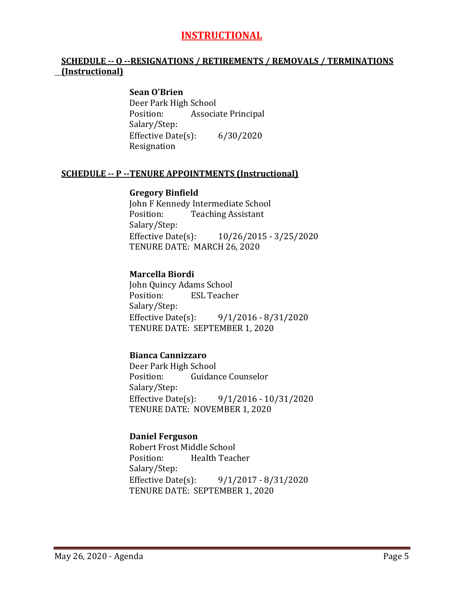# **INSTRUCTIONAL**

#### **SCHEDULE -- O --RESIGNATIONS / RETIREMENTS / REMOVALS / TERMINATIONS (Instructional)**

#### **Sean O'Brien**

Deer Park High School<br>Position: Associa Associate Principal Salary/Step: Effective Date(s): 6/30/2020 Resignation

#### **SCHEDULE -- P --TENURE APPOINTMENTS (Instructional)**

#### **Gregory Binfield**

John F Kennedy Intermediate School<br>Position: Teaching Assistant **Teaching Assistant** Salary/Step: Effective Date(s): 10/26/2015 - 3/25/2020 TENURE DATE: MARCH 26, 2020

#### **Marcella Biordi**

John Quincy Adams School<br>Position: ESL Teache **ESL Teacher** Salary/Step:<br>Effective Date(s): Effective Date(s): 9/1/2016 - 8/31/2020 TENURE DATE: SEPTEMBER 1, 2020

#### **Bianca Cannizzaro**

Deer Park High School<br>Position: Guidan Guidance Counselor Salary/Step:<br>Effective Date(s): Effective Date(s): 9/1/2016 - 10/31/2020 TENURE DATE: NOVEMBER 1, 2020

#### **Daniel Ferguson**

Robert Frost Middle School<br>Position: Health Teac Health Teacher Salary/Step:<br>Effective Date(s): Effective Date(s): 9/1/2017 - 8/31/2020 TENURE DATE: SEPTEMBER 1, 2020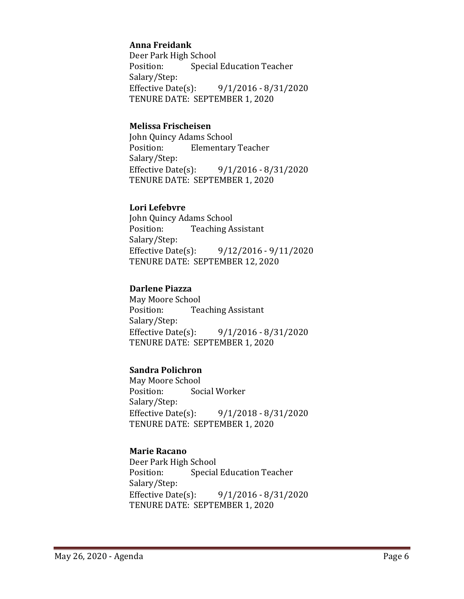#### **Anna Freidank**

Deer Park High School<br>Position: Special **Special Education Teacher** Salary/Step:<br>Effective Date(s): Effective Date(s): 9/1/2016 - 8/31/2020 TENURE DATE: SEPTEMBER 1, 2020

#### **Melissa Frischeisen**

John Quincy Adams School<br>Position: Elementary **Elementary Teacher** Salary/Step:<br>Effective Date(s):  $9/1/2016 - 8/31/2020$ TENURE DATE: SEPTEMBER 1, 2020

#### **Lori Lefebvre**

John Quincy Adams School<br>Position: Teaching A **Teaching Assistant** Salary/Step:<br>Effective Date(s): Effective Date(s): 9/12/2016 - 9/11/2020 TENURE DATE: SEPTEMBER 12, 2020

#### **Darlene Piazza**

May Moore School<br>Position: Tea **Teaching Assistant** Salary/Step: Effective Date(s): 9/1/2016 - 8/31/2020 TENURE DATE: SEPTEMBER 1, 2020

#### **Sandra Polichron**

May Moore School<br>Position: Soc Social Worker Salary/Step:<br>Effective Date(s):  $9/1/2018 - 8/31/2020$ TENURE DATE: SEPTEMBER 1, 2020

#### **Marie Racano**

Deer Park High School<br>Position: Special **Special Education Teacher** Salary/Step:<br>Effective Date(s): Effective Date(s): 9/1/2016 - 8/31/2020 TENURE DATE: SEPTEMBER 1, 2020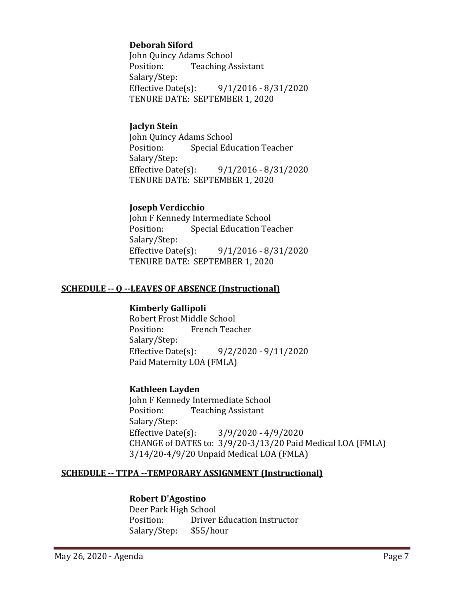#### **Deborah Siford**

John Quincy Adams School<br>Position: Teaching A **Teaching Assistant** Salary/Step:<br>Effective Date(s):  $9/1/2016 - 8/31/2020$ TENURE DATE: SEPTEMBER 1, 2020

#### **Jaclyn Stein**

John Quincy Adams School **Special Education Teacher** Salary/Step:<br>Effective Date(s): Effective Date(s): 9/1/2016 - 8/31/2020 TENURE DATE: SEPTEMBER 1, 2020

#### **Joseph Verdicchio**

John F Kennedy Intermediate School<br>Position: Special Education Tea Special Education Teacher Salary/Step:<br>Effective Date(s): Effective Date(s): 9/1/2016 - 8/31/2020 TENURE DATE: SEPTEMBER 1, 2020

#### **SCHEDULE -- Q --LEAVES OF ABSENCE (Instructional)**

#### **Kimberly Gallipoli**

Robert Frost Middle School<br>Position: French Teac French Teacher Salary/Step: Effective Date(s): 9/2/2020 - 9/11/2020 Paid Maternity LOA (FMLA)

#### **Kathleen Layden**

John F Kennedy Intermediate School<br>Position: Teaching Assistant **Teaching Assistant** Salary/Step:<br>Effective Date(s):  $3/9/2020 - 4/9/2020$ CHANGE of DATES to: 3/9/20-3/13/20 Paid Medical LOA (FMLA) 3/14/20-4/9/20 Unpaid Medical LOA (FMLA)

### **SCHEDULE -- TTPA --TEMPORARY ASSIGNMENT (Instructional)**

### **Robert D'Agostino**

Deer Park High School<br>Position: Driver **Driver Education Instructor**<br>\$55/hour Salary/Step: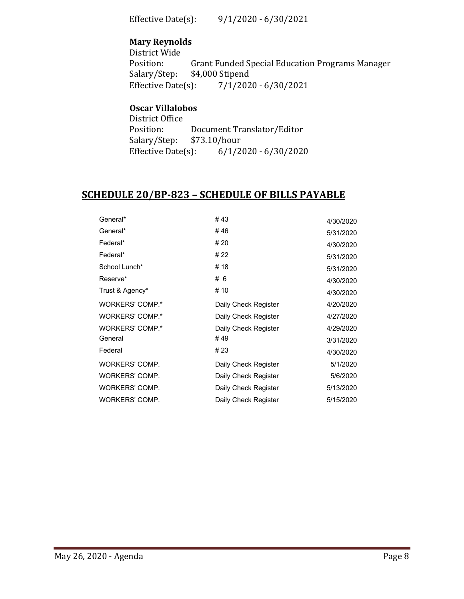Effective Date(s): 9/1/2020 - 6/30/2021

### **Mary Reynolds**

District Wide<br>Position: Position: Grant Funded Special Education Programs Manager<br>Salary/Step: \$4,000 Stipend Salary/Step: \$4,000 Stipend<br>Effective Date(s): 7/1/202  $7/1/2020 - 6/30/2021$ 

# **Oscar Villalobos**

| District Office        |              |                            |
|------------------------|--------------|----------------------------|
| Position:              |              | Document Translator/Editor |
| Salary/Step:           | \$73.10/hour |                            |
| Effective Date $(s)$ : |              | $6/1/2020 - 6/30/2020$     |

### **SCHEDULE 20/BP-823 – SCHEDULE OF BILLS PAYABLE**

| General*        | #43                  | 4/30/2020 |
|-----------------|----------------------|-----------|
| General*        | #46                  | 5/31/2020 |
| Federal*        | # 20                 | 4/30/2020 |
| Federal*        | # 22                 | 5/31/2020 |
| School Lunch*   | # 18                 | 5/31/2020 |
| Reserve*        | #6                   | 4/30/2020 |
| Trust & Agency* | # 10                 | 4/30/2020 |
| WORKERS' COMP.* | Daily Check Register | 4/20/2020 |
| WORKERS' COMP.* | Daily Check Register | 4/27/2020 |
| WORKERS' COMP.* | Daily Check Register | 4/29/2020 |
| General         | #49                  | 3/31/2020 |
| Federal         | # 23                 | 4/30/2020 |
| WORKERS' COMP.  | Daily Check Register | 5/1/2020  |
| WORKERS' COMP.  | Daily Check Register | 5/6/2020  |
| WORKERS' COMP.  | Daily Check Register | 5/13/2020 |
| WORKERS' COMP.  | Daily Check Register | 5/15/2020 |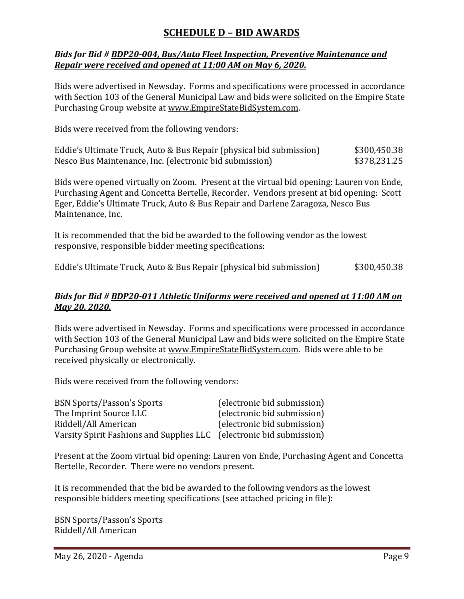# **SCHEDULE D – BID AWARDS**

#### *Bids for Bid # BDP20-004, Bus/Auto Fleet Inspection, Preventive Maintenance and Repair were received and opened at 11:00 AM on May 6, 2020.*

Bids were advertised in Newsday. Forms and specifications were processed in accordance with Section 103 of the General Municipal Law and bids were solicited on the Empire State Purchasing Group website at [www.EmpireStateBidSystem.com.](http://www.empirestatebidsystem.com/)

Bids were received from the following vendors:

| Eddie's Ultimate Truck, Auto & Bus Repair (physical bid submission) | \$300,450.38 |
|---------------------------------------------------------------------|--------------|
| Nesco Bus Maintenance, Inc. (electronic bid submission)             | \$378,231.25 |

Bids were opened virtually on Zoom. Present at the virtual bid opening: Lauren von Ende, Purchasing Agent and Concetta Bertelle, Recorder. Vendors present at bid opening: Scott Eger, Eddie's Ultimate Truck, Auto & Bus Repair and Darlene Zaragoza, Nesco Bus Maintenance, Inc.

It is recommended that the bid be awarded to the following vendor as the lowest responsive, responsible bidder meeting specifications:

Eddie's Ultimate Truck, Auto & Bus Repair (physical bid submission) \$300,450.38

#### *Bids for Bid # BDP20-011 Athletic Uniforms were received and opened at 11:00 AM on May 20, 2020.*

Bids were advertised in Newsday. Forms and specifications were processed in accordance with Section 103 of the General Municipal Law and bids were solicited on the Empire State Purchasing Group website at [www.EmpireStateBidSystem.com.](http://www.empirestatebidsystem.com/) Bids were able to be received physically or electronically.

Bids were received from the following vendors:

| <b>BSN Sports/Passon's Sports</b>                                    | (electronic bid submission) |
|----------------------------------------------------------------------|-----------------------------|
| The Imprint Source LLC                                               | (electronic bid submission) |
| Riddell/All American                                                 | (electronic bid submission) |
| Varsity Spirit Fashions and Supplies LLC (electronic bid submission) |                             |

Present at the Zoom virtual bid opening: Lauren von Ende, Purchasing Agent and Concetta Bertelle, Recorder. There were no vendors present.

It is recommended that the bid be awarded to the following vendors as the lowest responsible bidders meeting specifications (see attached pricing in file):

BSN Sports/Passon's Sports Riddell/All American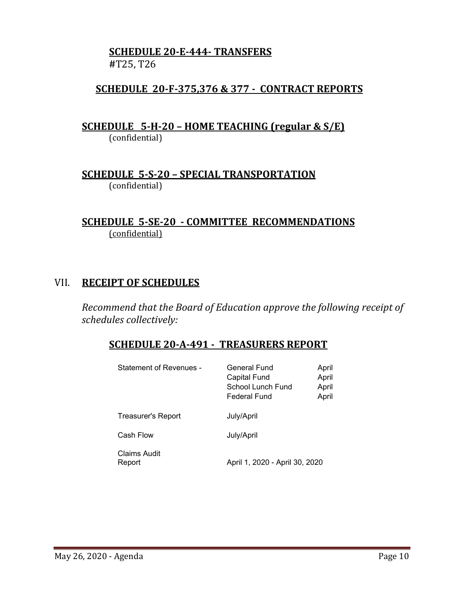### **SCHEDULE 20-E-444- TRANSFERS #**T25, T26

## **SCHEDULE 20-F-375,376 & 377 - CONTRACT REPORTS**

**SCHEDULE 5-H-20 – HOME TEACHING (regular & S/E)**  (confidential)

**SCHEDULE 5-S-20 – SPECIAL TRANSPORTATION**  (confidential)

### **SCHEDULE 5-SE-20 - COMMITTEE RECOMMENDATIONS** (confidential)

### VII. **RECEIPT OF SCHEDULES**

*Recommend that the Board of Education approve the following receipt of schedules collectively:*

### **SCHEDULE 20-A-491 - TREASURERS REPORT**

| Statement of Revenues - | General Fund<br><b>Capital Fund</b><br>School Lunch Fund<br>Federal Fund | April<br>April<br>April<br>April |
|-------------------------|--------------------------------------------------------------------------|----------------------------------|
| Treasurer's Report      | July/April                                                               |                                  |
| Cash Flow               | July/April                                                               |                                  |
| Claims Audit<br>Report  | April 1, 2020 - April 30, 2020                                           |                                  |